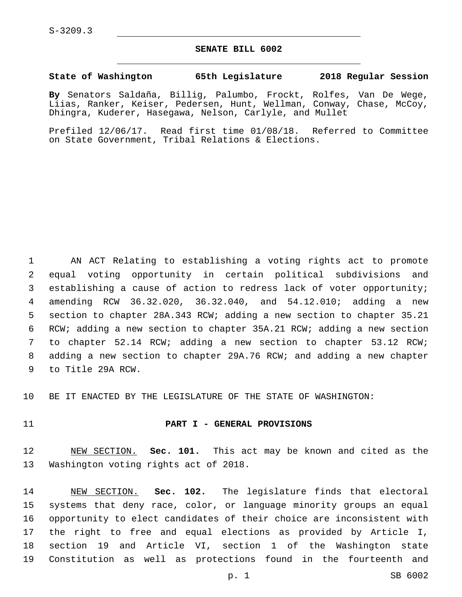### **SENATE BILL 6002**

#### **State of Washington 65th Legislature 2018 Regular Session**

**By** Senators Saldaña, Billig, Palumbo, Frockt, Rolfes, Van De Wege, Liias, Ranker, Keiser, Pedersen, Hunt, Wellman, Conway, Chase, McCoy, Dhingra, Kuderer, Hasegawa, Nelson, Carlyle, and Mullet

Prefiled 12/06/17. Read first time 01/08/18. Referred to Committee on State Government, Tribal Relations & Elections.

 AN ACT Relating to establishing a voting rights act to promote equal voting opportunity in certain political subdivisions and establishing a cause of action to redress lack of voter opportunity; amending RCW 36.32.020, 36.32.040, and 54.12.010; adding a new section to chapter 28A.343 RCW; adding a new section to chapter 35.21 RCW; adding a new section to chapter 35A.21 RCW; adding a new section to chapter 52.14 RCW; adding a new section to chapter 53.12 RCW; adding a new section to chapter 29A.76 RCW; and adding a new chapter 9 to Title 29A RCW.

BE IT ENACTED BY THE LEGISLATURE OF THE STATE OF WASHINGTON:

#### **PART I - GENERAL PROVISIONS**

 NEW SECTION. **Sec. 101.** This act may be known and cited as the Washington voting rights act of 2018.

 NEW SECTION. **Sec. 102.** The legislature finds that electoral systems that deny race, color, or language minority groups an equal opportunity to elect candidates of their choice are inconsistent with the right to free and equal elections as provided by Article I, section 19 and Article VI, section 1 of the Washington state Constitution as well as protections found in the fourteenth and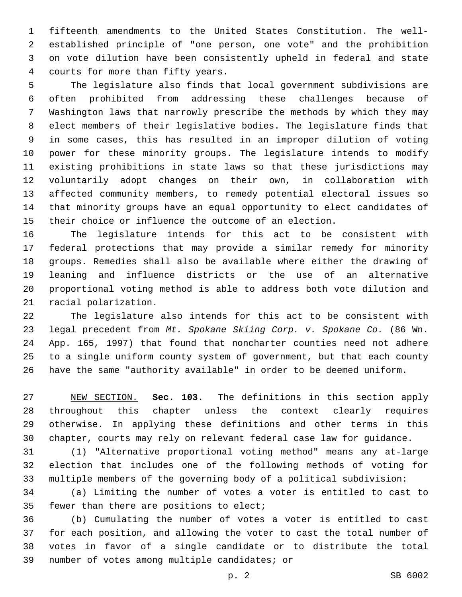fifteenth amendments to the United States Constitution. The well- established principle of "one person, one vote" and the prohibition on vote dilution have been consistently upheld in federal and state courts for more than fifty years.4

 The legislature also finds that local government subdivisions are often prohibited from addressing these challenges because of Washington laws that narrowly prescribe the methods by which they may elect members of their legislative bodies. The legislature finds that in some cases, this has resulted in an improper dilution of voting power for these minority groups. The legislature intends to modify existing prohibitions in state laws so that these jurisdictions may voluntarily adopt changes on their own, in collaboration with affected community members, to remedy potential electoral issues so that minority groups have an equal opportunity to elect candidates of their choice or influence the outcome of an election.

 The legislature intends for this act to be consistent with federal protections that may provide a similar remedy for minority groups. Remedies shall also be available where either the drawing of leaning and influence districts or the use of an alternative proportional voting method is able to address both vote dilution and 21 racial polarization.

 The legislature also intends for this act to be consistent with legal precedent from *Mt. Spokane Skiing Corp. v. Spokane Co.* (86 Wn. App. 165, 1997) that found that noncharter counties need not adhere to a single uniform county system of government, but that each county have the same "authority available" in order to be deemed uniform.

 NEW SECTION. **Sec. 103.** The definitions in this section apply throughout this chapter unless the context clearly requires otherwise. In applying these definitions and other terms in this chapter, courts may rely on relevant federal case law for guidance.

 (1) "Alternative proportional voting method" means any at-large election that includes one of the following methods of voting for multiple members of the governing body of a political subdivision:

 (a) Limiting the number of votes a voter is entitled to cast to 35 fewer than there are positions to elect;

 (b) Cumulating the number of votes a voter is entitled to cast for each position, and allowing the voter to cast the total number of votes in favor of a single candidate or to distribute the total 39 number of votes among multiple candidates; or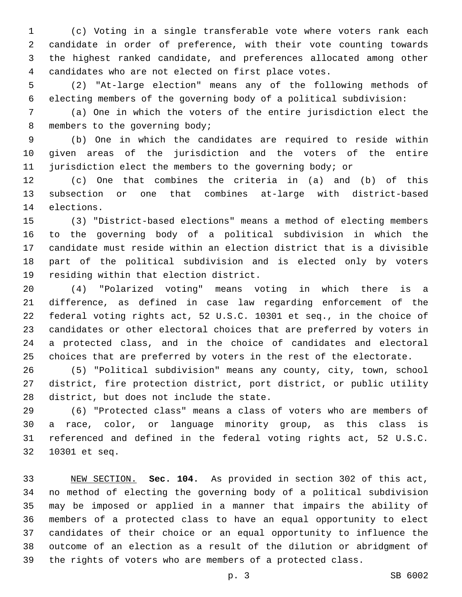(c) Voting in a single transferable vote where voters rank each candidate in order of preference, with their vote counting towards the highest ranked candidate, and preferences allocated among other candidates who are not elected on first place votes.

 (2) "At-large election" means any of the following methods of electing members of the governing body of a political subdivision:

 (a) One in which the voters of the entire jurisdiction elect the 8 members to the governing body;

 (b) One in which the candidates are required to reside within given areas of the jurisdiction and the voters of the entire jurisdiction elect the members to the governing body; or

 (c) One that combines the criteria in (a) and (b) of this subsection or one that combines at-large with district-based 14 elections.

 (3) "District-based elections" means a method of electing members to the governing body of a political subdivision in which the candidate must reside within an election district that is a divisible part of the political subdivision and is elected only by voters 19 residing within that election district.

 (4) "Polarized voting" means voting in which there is a difference, as defined in case law regarding enforcement of the federal voting rights act, 52 U.S.C. 10301 et seq., in the choice of candidates or other electoral choices that are preferred by voters in a protected class, and in the choice of candidates and electoral choices that are preferred by voters in the rest of the electorate.

 (5) "Political subdivision" means any county, city, town, school district, fire protection district, port district, or public utility 28 district, but does not include the state.

 (6) "Protected class" means a class of voters who are members of a race, color, or language minority group, as this class is referenced and defined in the federal voting rights act, 52 U.S.C. 10301 et seq.32

 NEW SECTION. **Sec. 104.** As provided in section 302 of this act, no method of electing the governing body of a political subdivision may be imposed or applied in a manner that impairs the ability of members of a protected class to have an equal opportunity to elect candidates of their choice or an equal opportunity to influence the outcome of an election as a result of the dilution or abridgment of the rights of voters who are members of a protected class.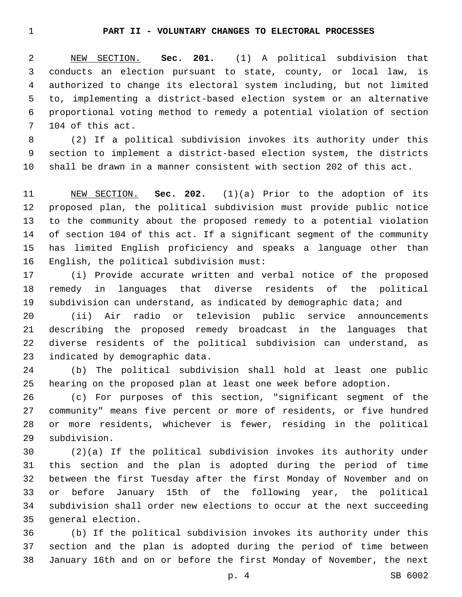#### **PART II - VOLUNTARY CHANGES TO ELECTORAL PROCESSES**

 NEW SECTION. **Sec. 201.** (1) A political subdivision that conducts an election pursuant to state, county, or local law, is authorized to change its electoral system including, but not limited to, implementing a district-based election system or an alternative proportional voting method to remedy a potential violation of section 104 of this act.

 (2) If a political subdivision invokes its authority under this section to implement a district-based election system, the districts shall be drawn in a manner consistent with section 202 of this act.

 NEW SECTION. **Sec. 202.** (1)(a) Prior to the adoption of its proposed plan, the political subdivision must provide public notice to the community about the proposed remedy to a potential violation of section 104 of this act. If a significant segment of the community has limited English proficiency and speaks a language other than English, the political subdivision must:

 (i) Provide accurate written and verbal notice of the proposed remedy in languages that diverse residents of the political 19 subdivision can understand, as indicated by demographic data; and

 (ii) Air radio or television public service announcements describing the proposed remedy broadcast in the languages that diverse residents of the political subdivision can understand, as 23 indicated by demographic data.

 (b) The political subdivision shall hold at least one public hearing on the proposed plan at least one week before adoption.

 (c) For purposes of this section, "significant segment of the community" means five percent or more of residents, or five hundred or more residents, whichever is fewer, residing in the political subdivision.29

 (2)(a) If the political subdivision invokes its authority under this section and the plan is adopted during the period of time between the first Tuesday after the first Monday of November and on or before January 15th of the following year, the political subdivision shall order new elections to occur at the next succeeding 35 general election.

 (b) If the political subdivision invokes its authority under this section and the plan is adopted during the period of time between January 16th and on or before the first Monday of November, the next

p. 4 SB 6002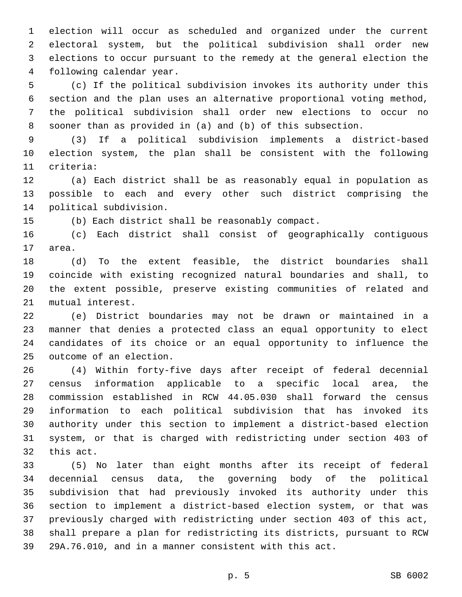election will occur as scheduled and organized under the current electoral system, but the political subdivision shall order new elections to occur pursuant to the remedy at the general election the 4 following calendar year.

 (c) If the political subdivision invokes its authority under this section and the plan uses an alternative proportional voting method, the political subdivision shall order new elections to occur no sooner than as provided in (a) and (b) of this subsection.

 (3) If a political subdivision implements a district-based election system, the plan shall be consistent with the following 11 criteria:

 (a) Each district shall be as reasonably equal in population as possible to each and every other such district comprising the 14 political subdivision.

(b) Each district shall be reasonably compact.

 (c) Each district shall consist of geographically contiguous 17 area.

 (d) To the extent feasible, the district boundaries shall coincide with existing recognized natural boundaries and shall, to the extent possible, preserve existing communities of related and 21 mutual interest.

 (e) District boundaries may not be drawn or maintained in a manner that denies a protected class an equal opportunity to elect candidates of its choice or an equal opportunity to influence the 25 outcome of an election.

 (4) Within forty-five days after receipt of federal decennial census information applicable to a specific local area, the commission established in RCW 44.05.030 shall forward the census information to each political subdivision that has invoked its authority under this section to implement a district-based election system, or that is charged with redistricting under section 403 of 32 this act.

 (5) No later than eight months after its receipt of federal decennial census data, the governing body of the political subdivision that had previously invoked its authority under this section to implement a district-based election system, or that was previously charged with redistricting under section 403 of this act, shall prepare a plan for redistricting its districts, pursuant to RCW 29A.76.010, and in a manner consistent with this act.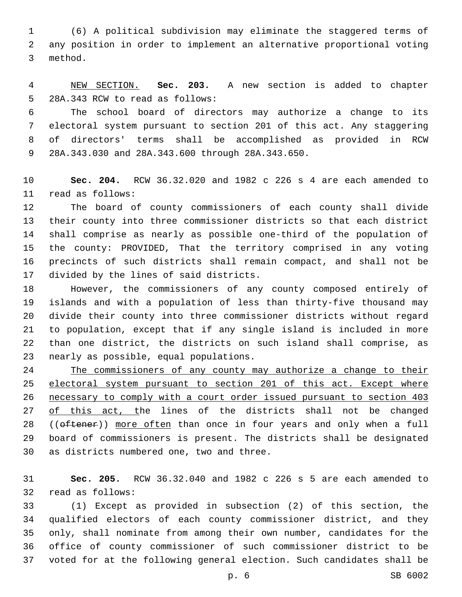(6) A political subdivision may eliminate the staggered terms of any position in order to implement an alternative proportional voting 3 method.

 NEW SECTION. **Sec. 203.** A new section is added to chapter 5 28A.343 RCW to read as follows:

 The school board of directors may authorize a change to its electoral system pursuant to section 201 of this act. Any staggering of directors' terms shall be accomplished as provided in RCW 28A.343.030 and 28A.343.600 through 28A.343.650.9

 **Sec. 204.** RCW 36.32.020 and 1982 c 226 s 4 are each amended to 11 read as follows:

 The board of county commissioners of each county shall divide their county into three commissioner districts so that each district shall comprise as nearly as possible one-third of the population of the county: PROVIDED, That the territory comprised in any voting precincts of such districts shall remain compact, and shall not be 17 divided by the lines of said districts.

 However, the commissioners of any county composed entirely of islands and with a population of less than thirty-five thousand may divide their county into three commissioner districts without regard to population, except that if any single island is included in more than one district, the districts on such island shall comprise, as 23 nearly as possible, equal populations.

 The commissioners of any county may authorize a change to their electoral system pursuant to section 201 of this act. Except where necessary to comply with a court order issued pursuant to section 403 of this act, the lines of the districts shall not be changed 28 ((oftener)) more often than once in four years and only when a full board of commissioners is present. The districts shall be designated 30 as districts numbered one, two and three.

 **Sec. 205.** RCW 36.32.040 and 1982 c 226 s 5 are each amended to 32 read as follows:

 (1) Except as provided in subsection (2) of this section, the qualified electors of each county commissioner district, and they only, shall nominate from among their own number, candidates for the office of county commissioner of such commissioner district to be voted for at the following general election. Such candidates shall be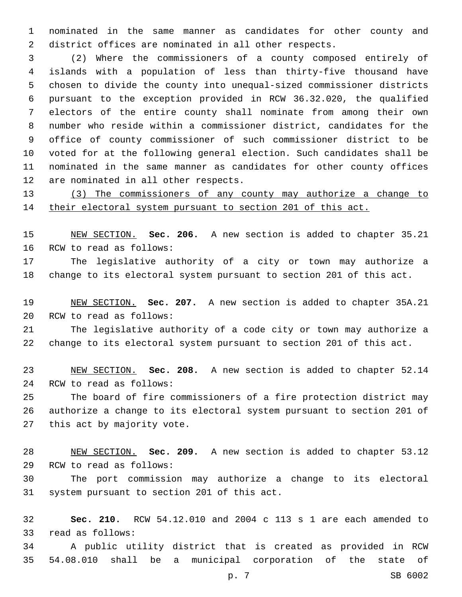nominated in the same manner as candidates for other county and district offices are nominated in all other respects.

 (2) Where the commissioners of a county composed entirely of islands with a population of less than thirty-five thousand have chosen to divide the county into unequal-sized commissioner districts pursuant to the exception provided in RCW 36.32.020, the qualified electors of the entire county shall nominate from among their own number who reside within a commissioner district, candidates for the office of county commissioner of such commissioner district to be voted for at the following general election. Such candidates shall be nominated in the same manner as candidates for other county offices 12 are nominated in all other respects.

 (3) The commissioners of any county may authorize a change to their electoral system pursuant to section 201 of this act.

 NEW SECTION. **Sec. 206.** A new section is added to chapter 35.21 16 RCW to read as follows:

 The legislative authority of a city or town may authorize a change to its electoral system pursuant to section 201 of this act.

 NEW SECTION. **Sec. 207.** A new section is added to chapter 35A.21 20 RCW to read as follows:

 The legislative authority of a code city or town may authorize a change to its electoral system pursuant to section 201 of this act.

 NEW SECTION. **Sec. 208.** A new section is added to chapter 52.14 24 RCW to read as follows:

 The board of fire commissioners of a fire protection district may authorize a change to its electoral system pursuant to section 201 of 27 this act by majority vote.

 NEW SECTION. **Sec. 209.** A new section is added to chapter 53.12 29 RCW to read as follows:

 The port commission may authorize a change to its electoral 31 system pursuant to section 201 of this act.

 **Sec. 210.** RCW 54.12.010 and 2004 c 113 s 1 are each amended to read as follows:33

 A public utility district that is created as provided in RCW 54.08.010 shall be a municipal corporation of the state of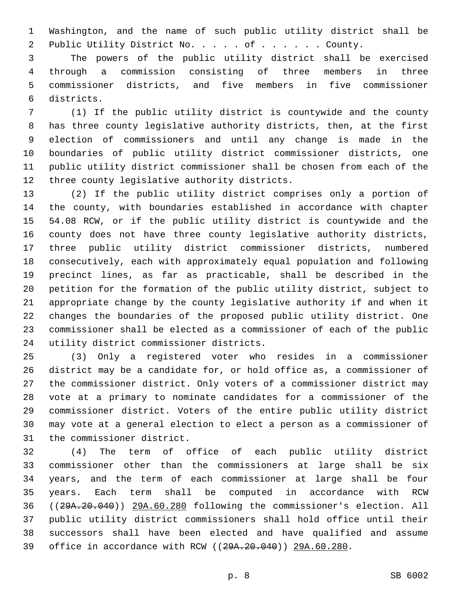Washington, and the name of such public utility district shall be 2 Public Utility District No. . . . of . . . . . . County.

 The powers of the public utility district shall be exercised through a commission consisting of three members in three commissioner districts, and five members in five commissioner districts.6

 (1) If the public utility district is countywide and the county has three county legislative authority districts, then, at the first election of commissioners and until any change is made in the boundaries of public utility district commissioner districts, one public utility district commissioner shall be chosen from each of the 12 three county legislative authority districts.

 (2) If the public utility district comprises only a portion of the county, with boundaries established in accordance with chapter 54.08 RCW, or if the public utility district is countywide and the county does not have three county legislative authority districts, three public utility district commissioner districts, numbered consecutively, each with approximately equal population and following precinct lines, as far as practicable, shall be described in the petition for the formation of the public utility district, subject to appropriate change by the county legislative authority if and when it changes the boundaries of the proposed public utility district. One commissioner shall be elected as a commissioner of each of the public 24 utility district commissioner districts.

 (3) Only a registered voter who resides in a commissioner district may be a candidate for, or hold office as, a commissioner of the commissioner district. Only voters of a commissioner district may vote at a primary to nominate candidates for a commissioner of the commissioner district. Voters of the entire public utility district may vote at a general election to elect a person as a commissioner of 31 the commissioner district.

 (4) The term of office of each public utility district commissioner other than the commissioners at large shall be six years, and the term of each commissioner at large shall be four years. Each term shall be computed in accordance with RCW ((29A.20.040)) 29A.60.280 following the commissioner's election. All public utility district commissioners shall hold office until their successors shall have been elected and have qualified and assume office in accordance with RCW ((29A.20.040)) 29A.60.280.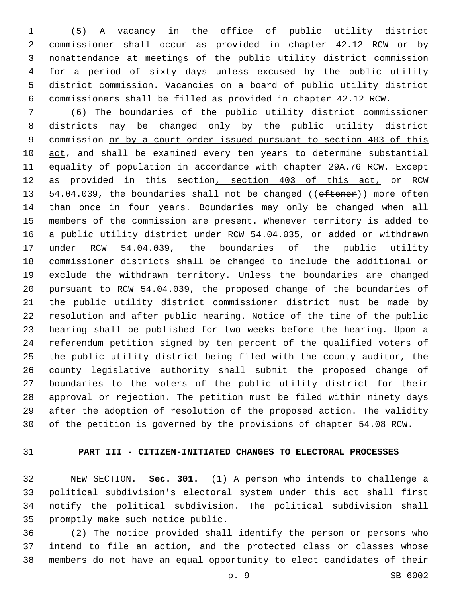(5) A vacancy in the office of public utility district commissioner shall occur as provided in chapter 42.12 RCW or by nonattendance at meetings of the public utility district commission for a period of sixty days unless excused by the public utility district commission. Vacancies on a board of public utility district commissioners shall be filled as provided in chapter 42.12 RCW.

 (6) The boundaries of the public utility district commissioner districts may be changed only by the public utility district commission or by a court order issued pursuant to section 403 of this 10 act, and shall be examined every ten years to determine substantial equality of population in accordance with chapter 29A.76 RCW. Except 12 as provided in this section, section 403 of this act, or RCW 13 54.04.039, the boundaries shall not be changed ((oftener)) more often than once in four years. Boundaries may only be changed when all members of the commission are present. Whenever territory is added to a public utility district under RCW 54.04.035, or added or withdrawn under RCW 54.04.039, the boundaries of the public utility commissioner districts shall be changed to include the additional or exclude the withdrawn territory. Unless the boundaries are changed pursuant to RCW 54.04.039, the proposed change of the boundaries of the public utility district commissioner district must be made by resolution and after public hearing. Notice of the time of the public hearing shall be published for two weeks before the hearing. Upon a referendum petition signed by ten percent of the qualified voters of the public utility district being filed with the county auditor, the county legislative authority shall submit the proposed change of boundaries to the voters of the public utility district for their approval or rejection. The petition must be filed within ninety days after the adoption of resolution of the proposed action. The validity of the petition is governed by the provisions of chapter 54.08 RCW.

# **PART III - CITIZEN-INITIATED CHANGES TO ELECTORAL PROCESSES**

 NEW SECTION. **Sec. 301.** (1) A person who intends to challenge a political subdivision's electoral system under this act shall first notify the political subdivision. The political subdivision shall promptly make such notice public.

 (2) The notice provided shall identify the person or persons who intend to file an action, and the protected class or classes whose members do not have an equal opportunity to elect candidates of their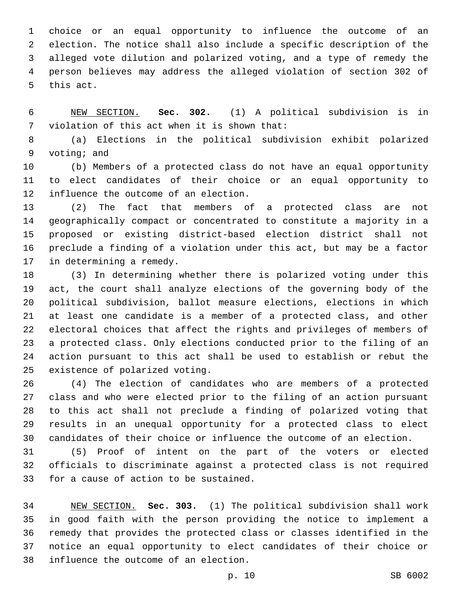choice or an equal opportunity to influence the outcome of an election. The notice shall also include a specific description of the alleged vote dilution and polarized voting, and a type of remedy the person believes may address the alleged violation of section 302 of 5 this act.

 NEW SECTION. **Sec. 302.** (1) A political subdivision is in violation of this act when it is shown that:

 (a) Elections in the political subdivision exhibit polarized 9 voting; and

 (b) Members of a protected class do not have an equal opportunity to elect candidates of their choice or an equal opportunity to 12 influence the outcome of an election.

 (2) The fact that members of a protected class are not geographically compact or concentrated to constitute a majority in a proposed or existing district-based election district shall not preclude a finding of a violation under this act, but may be a factor 17 in determining a remedy.

 (3) In determining whether there is polarized voting under this act, the court shall analyze elections of the governing body of the political subdivision, ballot measure elections, elections in which at least one candidate is a member of a protected class, and other electoral choices that affect the rights and privileges of members of a protected class. Only elections conducted prior to the filing of an action pursuant to this act shall be used to establish or rebut the 25 existence of polarized voting.

 (4) The election of candidates who are members of a protected class and who were elected prior to the filing of an action pursuant to this act shall not preclude a finding of polarized voting that results in an unequal opportunity for a protected class to elect candidates of their choice or influence the outcome of an election.

 (5) Proof of intent on the part of the voters or elected officials to discriminate against a protected class is not required 33 for a cause of action to be sustained.

 NEW SECTION. **Sec. 303.** (1) The political subdivision shall work in good faith with the person providing the notice to implement a remedy that provides the protected class or classes identified in the notice an equal opportunity to elect candidates of their choice or influence the outcome of an election.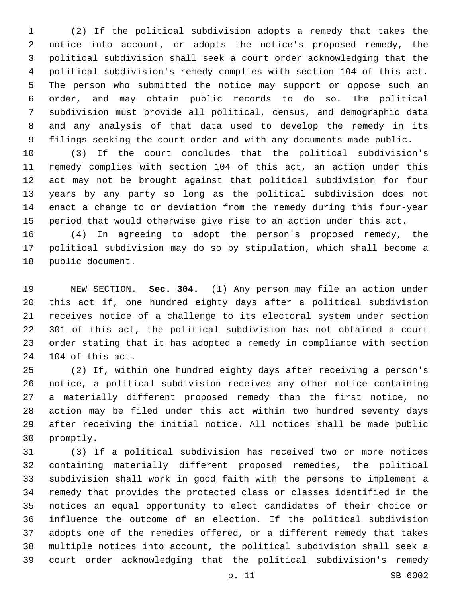(2) If the political subdivision adopts a remedy that takes the notice into account, or adopts the notice's proposed remedy, the political subdivision shall seek a court order acknowledging that the political subdivision's remedy complies with section 104 of this act. The person who submitted the notice may support or oppose such an order, and may obtain public records to do so. The political subdivision must provide all political, census, and demographic data and any analysis of that data used to develop the remedy in its filings seeking the court order and with any documents made public.

 (3) If the court concludes that the political subdivision's remedy complies with section 104 of this act, an action under this act may not be brought against that political subdivision for four years by any party so long as the political subdivision does not enact a change to or deviation from the remedy during this four-year period that would otherwise give rise to an action under this act.

 (4) In agreeing to adopt the person's proposed remedy, the political subdivision may do so by stipulation, which shall become a 18 public document.

 NEW SECTION. **Sec. 304.** (1) Any person may file an action under this act if, one hundred eighty days after a political subdivision receives notice of a challenge to its electoral system under section 301 of this act, the political subdivision has not obtained a court order stating that it has adopted a remedy in compliance with section 104 of this act.

 (2) If, within one hundred eighty days after receiving a person's notice, a political subdivision receives any other notice containing a materially different proposed remedy than the first notice, no action may be filed under this act within two hundred seventy days after receiving the initial notice. All notices shall be made public 30 promptly.

 (3) If a political subdivision has received two or more notices containing materially different proposed remedies, the political subdivision shall work in good faith with the persons to implement a remedy that provides the protected class or classes identified in the notices an equal opportunity to elect candidates of their choice or influence the outcome of an election. If the political subdivision adopts one of the remedies offered, or a different remedy that takes multiple notices into account, the political subdivision shall seek a court order acknowledging that the political subdivision's remedy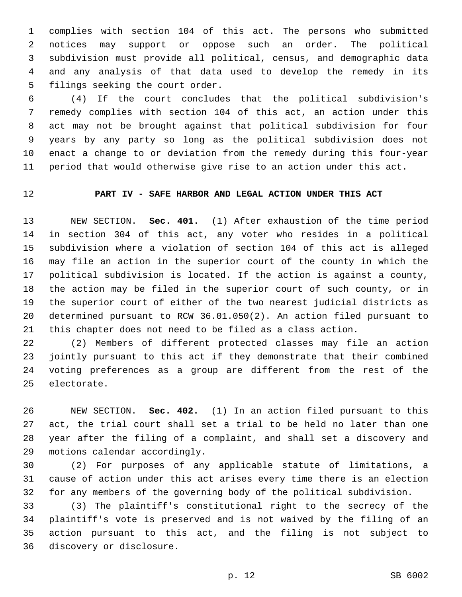complies with section 104 of this act. The persons who submitted notices may support or oppose such an order. The political subdivision must provide all political, census, and demographic data and any analysis of that data used to develop the remedy in its 5 filings seeking the court order.

 (4) If the court concludes that the political subdivision's remedy complies with section 104 of this act, an action under this act may not be brought against that political subdivision for four years by any party so long as the political subdivision does not enact a change to or deviation from the remedy during this four-year period that would otherwise give rise to an action under this act.

# **PART IV - SAFE HARBOR AND LEGAL ACTION UNDER THIS ACT**

 NEW SECTION. **Sec. 401.** (1) After exhaustion of the time period in section 304 of this act, any voter who resides in a political subdivision where a violation of section 104 of this act is alleged may file an action in the superior court of the county in which the political subdivision is located. If the action is against a county, the action may be filed in the superior court of such county, or in the superior court of either of the two nearest judicial districts as determined pursuant to RCW 36.01.050(2). An action filed pursuant to this chapter does not need to be filed as a class action.

 (2) Members of different protected classes may file an action jointly pursuant to this act if they demonstrate that their combined voting preferences as a group are different from the rest of the 25 electorate.

 NEW SECTION. **Sec. 402.** (1) In an action filed pursuant to this act, the trial court shall set a trial to be held no later than one year after the filing of a complaint, and shall set a discovery and motions calendar accordingly.

 (2) For purposes of any applicable statute of limitations, a cause of action under this act arises every time there is an election for any members of the governing body of the political subdivision.

 (3) The plaintiff's constitutional right to the secrecy of the plaintiff's vote is preserved and is not waived by the filing of an action pursuant to this act, and the filing is not subject to 36 discovery or disclosure.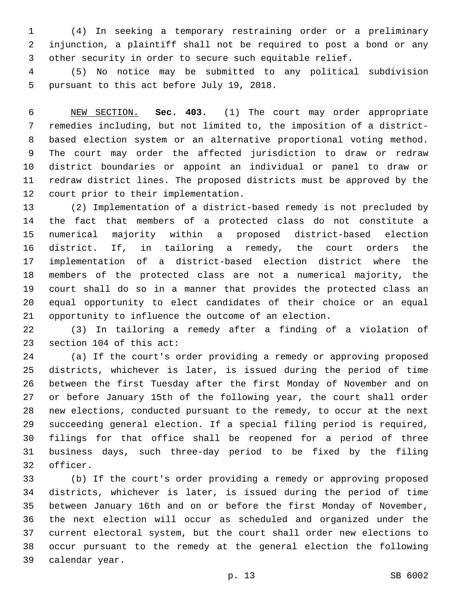(4) In seeking a temporary restraining order or a preliminary injunction, a plaintiff shall not be required to post a bond or any other security in order to secure such equitable relief.

 (5) No notice may be submitted to any political subdivision 5 pursuant to this act before July 19, 2018.

 NEW SECTION. **Sec. 403.** (1) The court may order appropriate remedies including, but not limited to, the imposition of a district- based election system or an alternative proportional voting method. The court may order the affected jurisdiction to draw or redraw district boundaries or appoint an individual or panel to draw or redraw district lines. The proposed districts must be approved by the court prior to their implementation.

 (2) Implementation of a district-based remedy is not precluded by the fact that members of a protected class do not constitute a numerical majority within a proposed district-based election district. If, in tailoring a remedy, the court orders the implementation of a district-based election district where the members of the protected class are not a numerical majority, the court shall do so in a manner that provides the protected class an equal opportunity to elect candidates of their choice or an equal opportunity to influence the outcome of an election.

 (3) In tailoring a remedy after a finding of a violation of 23 section 104 of this act:

 (a) If the court's order providing a remedy or approving proposed districts, whichever is later, is issued during the period of time between the first Tuesday after the first Monday of November and on or before January 15th of the following year, the court shall order new elections, conducted pursuant to the remedy, to occur at the next succeeding general election. If a special filing period is required, filings for that office shall be reopened for a period of three business days, such three-day period to be fixed by the filing 32 officer.

 (b) If the court's order providing a remedy or approving proposed districts, whichever is later, is issued during the period of time between January 16th and on or before the first Monday of November, the next election will occur as scheduled and organized under the current electoral system, but the court shall order new elections to occur pursuant to the remedy at the general election the following 39 calendar year.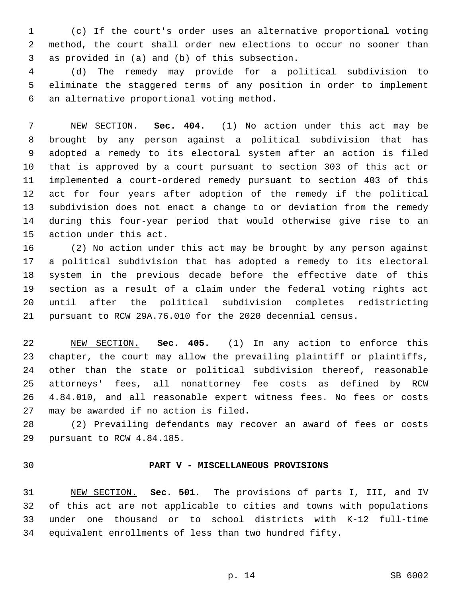(c) If the court's order uses an alternative proportional voting method, the court shall order new elections to occur no sooner than as provided in (a) and (b) of this subsection.3

 (d) The remedy may provide for a political subdivision to eliminate the staggered terms of any position in order to implement 6 an alternative proportional voting method.

 NEW SECTION. **Sec. 404.** (1) No action under this act may be brought by any person against a political subdivision that has adopted a remedy to its electoral system after an action is filed that is approved by a court pursuant to section 303 of this act or implemented a court-ordered remedy pursuant to section 403 of this act for four years after adoption of the remedy if the political subdivision does not enact a change to or deviation from the remedy during this four-year period that would otherwise give rise to an action under this act.

 (2) No action under this act may be brought by any person against a political subdivision that has adopted a remedy to its electoral system in the previous decade before the effective date of this section as a result of a claim under the federal voting rights act until after the political subdivision completes redistricting pursuant to RCW 29A.76.010 for the 2020 decennial census.

 NEW SECTION. **Sec. 405.** (1) In any action to enforce this chapter, the court may allow the prevailing plaintiff or plaintiffs, other than the state or political subdivision thereof, reasonable attorneys' fees, all nonattorney fee costs as defined by RCW 4.84.010, and all reasonable expert witness fees. No fees or costs may be awarded if no action is filed.

 (2) Prevailing defendants may recover an award of fees or costs 29 pursuant to RCW 4.84.185.

## **PART V - MISCELLANEOUS PROVISIONS**

 NEW SECTION. **Sec. 501.** The provisions of parts I, III, and IV of this act are not applicable to cities and towns with populations under one thousand or to school districts with K-12 full-time equivalent enrollments of less than two hundred fifty.